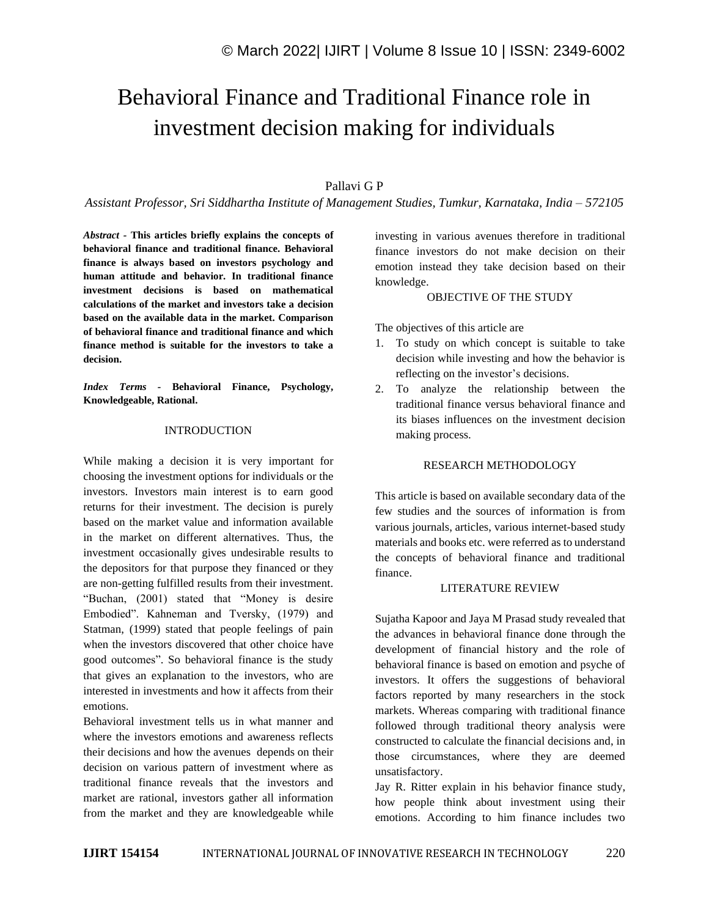# Behavioral Finance and Traditional Finance role in investment decision making for individuals

## Pallavi G P

*Assistant Professor, Sri Siddhartha Institute of Management Studies, Tumkur, Karnataka, India – 572105*

*Abstract -* **This articles briefly explains the concepts of behavioral finance and traditional finance. Behavioral finance is always based on investors psychology and human attitude and behavior. In traditional finance investment decisions is based on mathematical calculations of the market and investors take a decision based on the available data in the market. Comparison of behavioral finance and traditional finance and which finance method is suitable for the investors to take a decision.**

*Index Terms -* **Behavioral Finance, Psychology, Knowledgeable, Rational.**

#### INTRODUCTION

While making a decision it is very important for choosing the investment options for individuals or the investors. Investors main interest is to earn good returns for their investment. The decision is purely based on the market value and information available in the market on different alternatives. Thus, the investment occasionally gives undesirable results to the depositors for that purpose they financed or they are non-getting fulfilled results from their investment. "Buchan, (2001) stated that "Money is desire Embodied". Kahneman and Tversky, (1979) and Statman, (1999) stated that people feelings of pain when the investors discovered that other choice have good outcomes". So behavioral finance is the study that gives an explanation to the investors, who are interested in investments and how it affects from their emotions.

Behavioral investment tells us in what manner and where the investors emotions and awareness reflects their decisions and how the avenues depends on their decision on various pattern of investment where as traditional finance reveals that the investors and market are rational, investors gather all information from the market and they are knowledgeable while investing in various avenues therefore in traditional finance investors do not make decision on their emotion instead they take decision based on their knowledge.

#### OBJECTIVE OF THE STUDY

The objectives of this article are

- 1. To study on which concept is suitable to take decision while investing and how the behavior is reflecting on the investor's decisions.
- 2. To analyze the relationship between the traditional finance versus behavioral finance and its biases influences on the investment decision making process.

### RESEARCH METHODOLOGY

This article is based on available secondary data of the few studies and the sources of information is from various journals, articles, various internet-based study materials and books etc. were referred as to understand the concepts of behavioral finance and traditional finance.

#### LITERATURE REVIEW

Sujatha Kapoor and Jaya M Prasad study revealed that the advances in behavioral finance done through the development of financial history and the role of behavioral finance is based on emotion and psyche of investors. It offers the suggestions of behavioral factors reported by many researchers in the stock markets. Whereas comparing with traditional finance followed through traditional theory analysis were constructed to calculate the financial decisions and, in those circumstances, where they are deemed unsatisfactory.

Jay R. Ritter explain in his behavior finance study, how people think about investment using their emotions. According to him finance includes two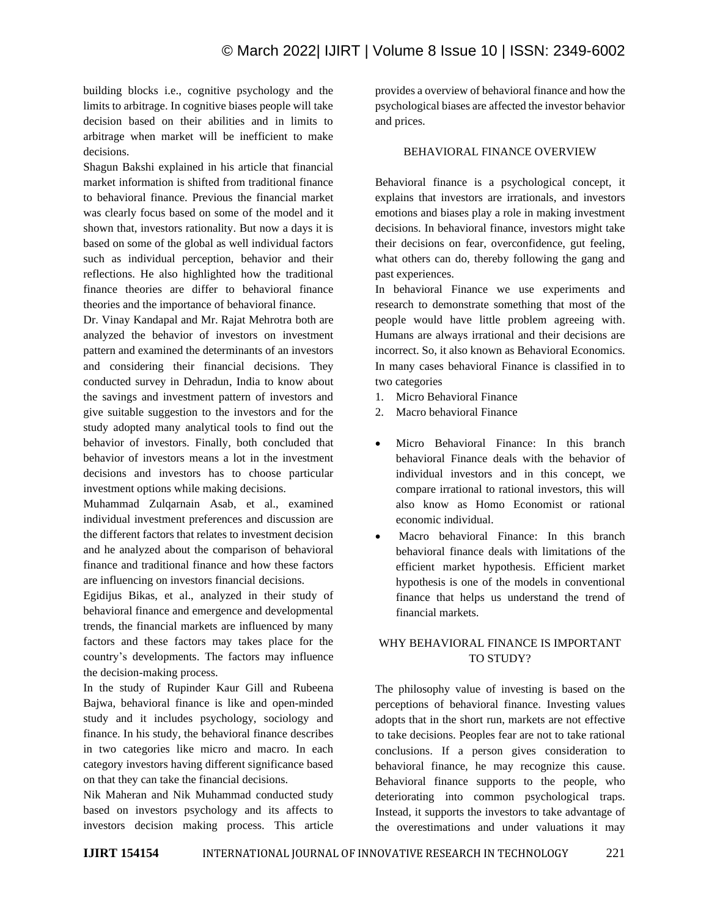building blocks i.e., cognitive psychology and the limits to arbitrage. In cognitive biases people will take decision based on their abilities and in limits to arbitrage when market will be inefficient to make decisions.

Shagun Bakshi explained in his article that financial market information is shifted from traditional finance to behavioral finance. Previous the financial market was clearly focus based on some of the model and it shown that, investors rationality. But now a days it is based on some of the global as well individual factors such as individual perception, behavior and their reflections. He also highlighted how the traditional finance theories are differ to behavioral finance theories and the importance of behavioral finance.

Dr. Vinay Kandapal and Mr. Rajat Mehrotra both are analyzed the behavior of investors on investment pattern and examined the determinants of an investors and considering their financial decisions. They conducted survey in Dehradun, India to know about the savings and investment pattern of investors and give suitable suggestion to the investors and for the study adopted many analytical tools to find out the behavior of investors. Finally, both concluded that behavior of investors means a lot in the investment decisions and investors has to choose particular investment options while making decisions.

Muhammad Zulqarnain Asab, et al., examined individual investment preferences and discussion are the different factors that relates to investment decision and he analyzed about the comparison of behavioral finance and traditional finance and how these factors are influencing on investors financial decisions.

Egidijus Bikas, et al., analyzed in their study of behavioral finance and emergence and developmental trends, the financial markets are influenced by many factors and these factors may takes place for the country's developments. The factors may influence the decision-making process.

In the study of Rupinder Kaur Gill and Rubeena Bajwa, behavioral finance is like and open-minded study and it includes psychology, sociology and finance. In his study, the behavioral finance describes in two categories like micro and macro. In each category investors having different significance based on that they can take the financial decisions.

Nik Maheran and Nik Muhammad conducted study based on investors psychology and its affects to investors decision making process. This article provides a overview of behavioral finance and how the psychological biases are affected the investor behavior and prices.

# BEHAVIORAL FINANCE OVERVIEW

Behavioral finance is a psychological concept, it explains that investors are irrationals, and investors emotions and biases play a role in making investment decisions. In behavioral finance, investors might take their decisions on fear, overconfidence, gut feeling, what others can do, thereby following the gang and past experiences.

In behavioral Finance we use experiments and research to demonstrate something that most of the people would have little problem agreeing with. Humans are always irrational and their decisions are incorrect. So, it also known as Behavioral Economics. In many cases behavioral Finance is classified in to two categories

- 1. Micro Behavioral Finance
- 2. Macro behavioral Finance
- Micro Behavioral Finance: In this branch behavioral Finance deals with the behavior of individual investors and in this concept, we compare irrational to rational investors, this will also know as Homo Economist or rational economic individual.
- Macro behavioral Finance: In this branch behavioral finance deals with limitations of the efficient market hypothesis. Efficient market hypothesis is one of the models in conventional finance that helps us understand the trend of financial markets.

# WHY BEHAVIORAL FINANCE IS IMPORTANT TO STUDY?

The philosophy value of investing is based on the perceptions of behavioral finance. Investing values adopts that in the short run, markets are not effective to take decisions. Peoples fear are not to take rational conclusions. If a person gives consideration to behavioral finance, he may recognize this cause. Behavioral finance supports to the people, who deteriorating into common psychological traps. Instead, it supports the investors to take advantage of the overestimations and under valuations it may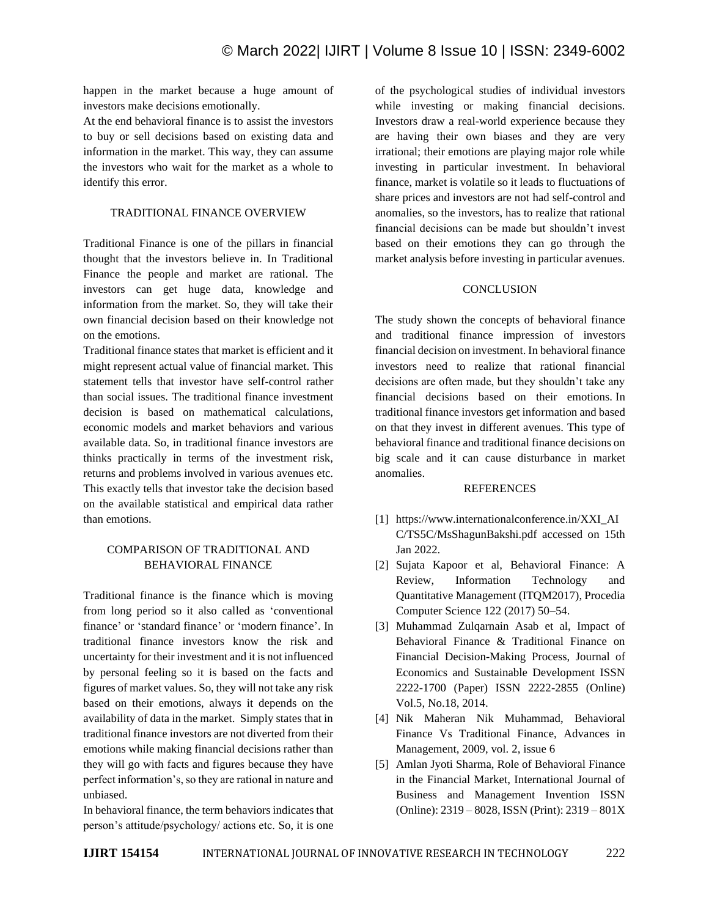happen in the market because a huge amount of investors make decisions emotionally.

At the end behavioral finance is to assist the investors to buy or sell decisions based on existing data and information in the market. This way, they can assume the investors who wait for the market as a whole to identify this error.

## TRADITIONAL FINANCE OVERVIEW

Traditional Finance is one of the pillars in financial thought that the investors believe in. In Traditional Finance the people and market are rational. The investors can get huge data, knowledge and information from the market. So, they will take their own financial decision based on their knowledge not on the emotions.

Traditional finance states that market is efficient and it might represent actual value of financial market. This statement tells that investor have self-control rather than social issues. The traditional finance investment decision is based on mathematical calculations, economic models and market behaviors and various available data. So, in traditional finance investors are thinks practically in terms of the investment risk, returns and problems involved in various avenues etc. This exactly tells that investor take the decision based on the available statistical and empirical data rather than emotions.

# COMPARISON OF TRADITIONAL AND BEHAVIORAL FINANCE

Traditional finance is the finance which is moving from long period so it also called as 'conventional finance' or 'standard finance' or 'modern finance'. In traditional finance investors know the risk and uncertainty for their investment and it is not influenced by personal feeling so it is based on the facts and figures of market values. So, they will not take any risk based on their emotions, always it depends on the availability of data in the market. Simply states that in traditional finance investors are not diverted from their emotions while making financial decisions rather than they will go with facts and figures because they have perfect information's, so they are rational in nature and unbiased.

In behavioral finance, the term behaviorsindicates that person's attitude/psychology/ actions etc. So, it is one

of the psychological studies of individual investors while investing or making financial decisions. Investors draw a real-world experience because they are having their own biases and they are very irrational; their emotions are playing major role while investing in particular investment. In behavioral finance, market is volatile so it leads to fluctuations of share prices and investors are not had self-control and anomalies, so the investors, has to realize that rational financial decisions can be made but shouldn't invest based on their emotions they can go through the market analysis before investing in particular avenues.

# **CONCLUSION**

The study shown the concepts of behavioral finance and traditional finance impression of investors financial decision on investment. In behavioral finance investors need to realize that rational financial decisions are often made, but they shouldn't take any financial decisions based on their emotions. In traditional finance investors get information and based on that they invest in different avenues. This type of behavioral finance and traditional finance decisions on big scale and it can cause disturbance in market anomalies.

### REFERENCES

- [1] https://www.internationalconference.in/XXI\_AI C/TS5C/MsShagunBakshi.pdf accessed on 15th Jan 2022.
- [2] Sujata Kapoor et al, Behavioral Finance: A Review, Information Technology and Quantitative Management (ITQM2017), Procedia Computer Science 122 (2017) 50–54.
- [3] Muhammad Zulqarnain Asab et al, Impact of Behavioral Finance & Traditional Finance on Financial Decision-Making Process, Journal of Economics and Sustainable Development ISSN 2222-1700 (Paper) ISSN 2222-2855 (Online) Vol.5, No.18, 2014.
- [4] Nik Maheran Nik Muhammad, Behavioral Finance Vs Traditional Finance, Advances in Management, 2009, vol. 2, issue 6
- [5] Amlan Jyoti Sharma, Role of Behavioral Finance in the Financial Market, International Journal of Business and Management Invention ISSN (Online): 2319 – 8028, ISSN (Print): 2319 – 801X